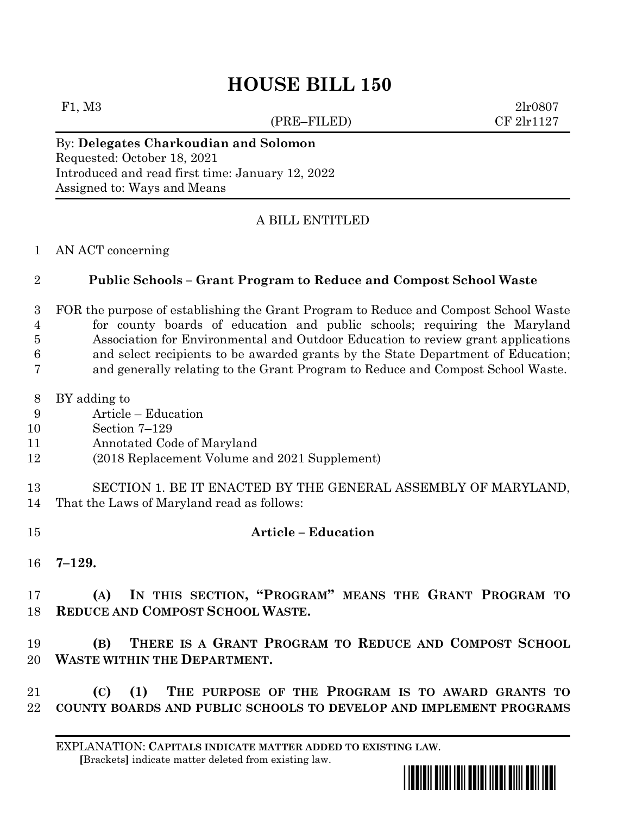# **HOUSE BILL 150**

(PRE–FILED) CF 2lr1127

F1, M3 2lr0807

## By: **Delegates Charkoudian and Solomon**

Requested: October 18, 2021 Introduced and read first time: January 12, 2022 Assigned to: Ways and Means

### A BILL ENTITLED

AN ACT concerning

#### **Public Schools – Grant Program to Reduce and Compost School Waste**

 FOR the purpose of establishing the Grant Program to Reduce and Compost School Waste for county boards of education and public schools; requiring the Maryland Association for Environmental and Outdoor Education to review grant applications and select recipients to be awarded grants by the State Department of Education;

- and generally relating to the Grant Program to Reduce and Compost School Waste.
- BY adding to
- Article Education
- Section 7–129
- Annotated Code of Maryland
- (2018 Replacement Volume and 2021 Supplement)
- SECTION 1. BE IT ENACTED BY THE GENERAL ASSEMBLY OF MARYLAND, That the Laws of Maryland read as follows:
- **Article – Education**
- **7–129.**

 **(A) IN THIS SECTION, "PROGRAM" MEANS THE GRANT PROGRAM TO REDUCE AND COMPOST SCHOOL WASTE.**

 **(B) THERE IS A GRANT PROGRAM TO REDUCE AND COMPOST SCHOOL WASTE WITHIN THE DEPARTMENT.**

 **(C) (1) THE PURPOSE OF THE PROGRAM IS TO AWARD GRANTS TO COUNTY BOARDS AND PUBLIC SCHOOLS TO DEVELOP AND IMPLEMENT PROGRAMS** 

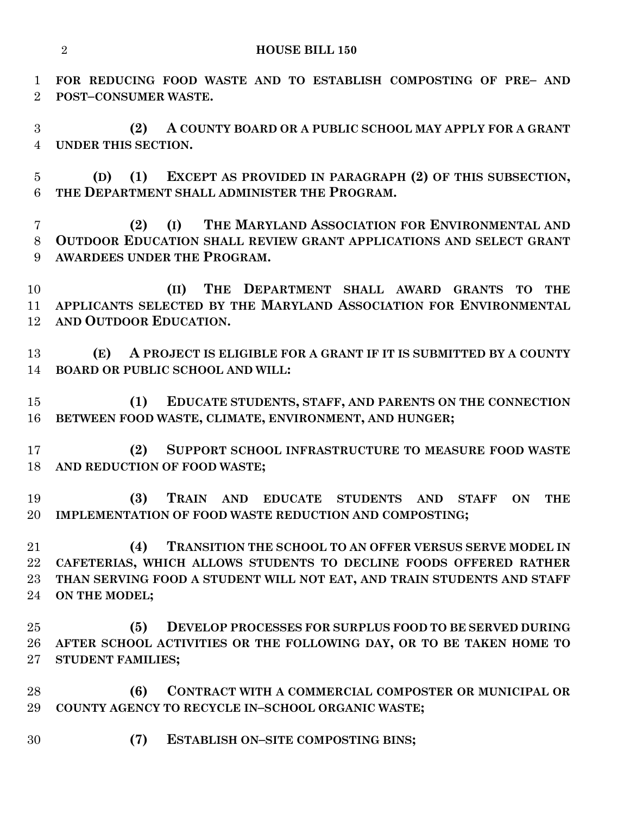**FOR REDUCING FOOD WASTE AND TO ESTABLISH COMPOSTING OF PRE– AND POST–CONSUMER WASTE.**

 **(2) A COUNTY BOARD OR A PUBLIC SCHOOL MAY APPLY FOR A GRANT UNDER THIS SECTION.**

 **(D) (1) EXCEPT AS PROVIDED IN PARAGRAPH (2) OF THIS SUBSECTION, THE DEPARTMENT SHALL ADMINISTER THE PROGRAM.**

 **(2) (I) THE MARYLAND ASSOCIATION FOR ENVIRONMENTAL AND OUTDOOR EDUCATION SHALL REVIEW GRANT APPLICATIONS AND SELECT GRANT AWARDEES UNDER THE PROGRAM.**

 **(II) THE DEPARTMENT SHALL AWARD GRANTS TO THE APPLICANTS SELECTED BY THE MARYLAND ASSOCIATION FOR ENVIRONMENTAL AND OUTDOOR EDUCATION.**

 **(E) A PROJECT IS ELIGIBLE FOR A GRANT IF IT IS SUBMITTED BY A COUNTY BOARD OR PUBLIC SCHOOL AND WILL:**

 **(1) EDUCATE STUDENTS, STAFF, AND PARENTS ON THE CONNECTION BETWEEN FOOD WASTE, CLIMATE, ENVIRONMENT, AND HUNGER;**

 **(2) SUPPORT SCHOOL INFRASTRUCTURE TO MEASURE FOOD WASTE AND REDUCTION OF FOOD WASTE;**

 **(3) TRAIN AND EDUCATE STUDENTS AND STAFF ON THE IMPLEMENTATION OF FOOD WASTE REDUCTION AND COMPOSTING;**

 **(4) TRANSITION THE SCHOOL TO AN OFFER VERSUS SERVE MODEL IN CAFETERIAS, WHICH ALLOWS STUDENTS TO DECLINE FOODS OFFERED RATHER THAN SERVING FOOD A STUDENT WILL NOT EAT, AND TRAIN STUDENTS AND STAFF ON THE MODEL;**

 **(5) DEVELOP PROCESSES FOR SURPLUS FOOD TO BE SERVED DURING AFTER SCHOOL ACTIVITIES OR THE FOLLOWING DAY, OR TO BE TAKEN HOME TO STUDENT FAMILIES;**

 **(6) CONTRACT WITH A COMMERCIAL COMPOSTER OR MUNICIPAL OR COUNTY AGENCY TO RECYCLE IN–SCHOOL ORGANIC WASTE;**

**(7) ESTABLISH ON–SITE COMPOSTING BINS;**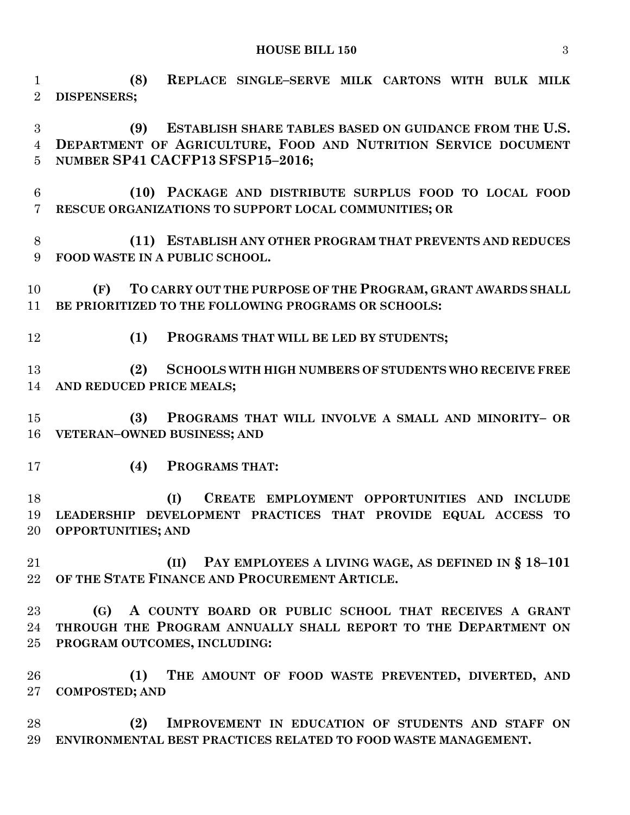**HOUSE BILL 150** 3

 **(8) REPLACE SINGLE–SERVE MILK CARTONS WITH BULK MILK DISPENSERS;**

 **(9) ESTABLISH SHARE TABLES BASED ON GUIDANCE FROM THE U.S. DEPARTMENT OF AGRICULTURE, FOOD AND NUTRITION SERVICE DOCUMENT NUMBER SP41 CACFP13 SFSP15–2016;**

- **(10) PACKAGE AND DISTRIBUTE SURPLUS FOOD TO LOCAL FOOD RESCUE ORGANIZATIONS TO SUPPORT LOCAL COMMUNITIES; OR**
- **(11) ESTABLISH ANY OTHER PROGRAM THAT PREVENTS AND REDUCES FOOD WASTE IN A PUBLIC SCHOOL.**

 **(F) TO CARRY OUT THE PURPOSE OF THE PROGRAM, GRANT AWARDS SHALL BE PRIORITIZED TO THE FOLLOWING PROGRAMS OR SCHOOLS:**

**(1) PROGRAMS THAT WILL BE LED BY STUDENTS;**

 **(2) SCHOOLS WITH HIGH NUMBERS OF STUDENTS WHO RECEIVE FREE AND REDUCED PRICE MEALS;**

 **(3) PROGRAMS THAT WILL INVOLVE A SMALL AND MINORITY– OR VETERAN–OWNED BUSINESS; AND**

**(4) PROGRAMS THAT:**

 **(I) CREATE EMPLOYMENT OPPORTUNITIES AND INCLUDE LEADERSHIP DEVELOPMENT PRACTICES THAT PROVIDE EQUAL ACCESS TO OPPORTUNITIES; AND**

 **(II) PAY EMPLOYEES A LIVING WAGE, AS DEFINED IN § 18–101 OF THE STATE FINANCE AND PROCUREMENT ARTICLE.**

 **(G) A COUNTY BOARD OR PUBLIC SCHOOL THAT RECEIVES A GRANT THROUGH THE PROGRAM ANNUALLY SHALL REPORT TO THE DEPARTMENT ON PROGRAM OUTCOMES, INCLUDING:**

 **(1) THE AMOUNT OF FOOD WASTE PREVENTED, DIVERTED, AND COMPOSTED; AND**

 **(2) IMPROVEMENT IN EDUCATION OF STUDENTS AND STAFF ON ENVIRONMENTAL BEST PRACTICES RELATED TO FOOD WASTE MANAGEMENT.**